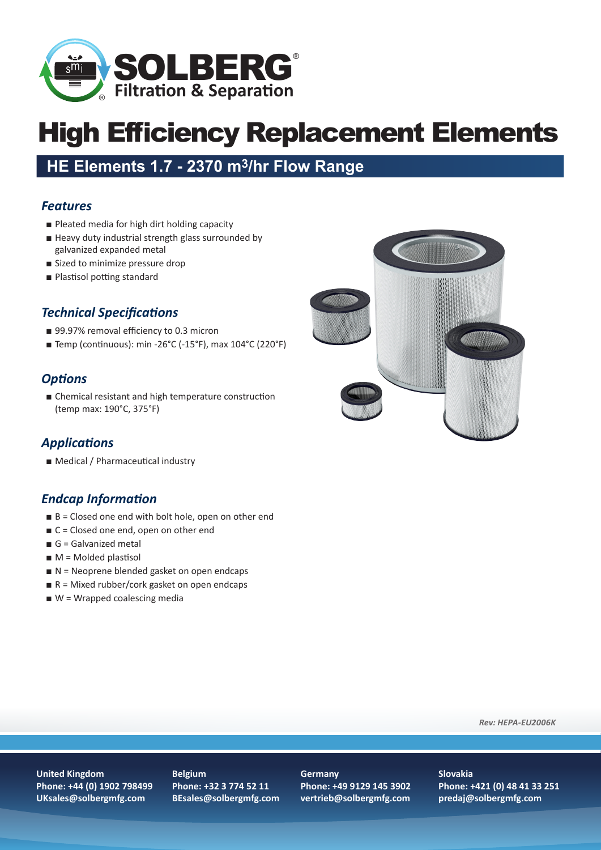

# High Efficiency Replacement Elements

# **HE Elements 1.7 - 2370 m3/hr Flow Range**

#### *Features*

- Pleated media for high dirt holding capacity
- Heavy duty industrial strength glass surrounded by galvanized expanded metal
- Sized to minimize pressure drop
- Plastisol potting standard

## *Technical Specifications*

- 99.97% removal efficiency to 0.3 micron
- Temp (continuous): min -26°C (-15°F), max 104°C (220°F)

## *Options*

■ Chemical resistant and high temperature construction (temp max: 190°C, 375°F)

## *Applications*

■ Medical / Pharmaceutical industry

## *Endcap Information*

- B = Closed one end with bolt hole, open on other end
- C = Closed one end, open on other end
- $\blacksquare$  G = Galvanized metal
- **= Molded plastisol**
- N = Neoprene blended gasket on open endcaps
- $R =$  Mixed rubber/cork gasket on open endcaps
- W = Wrapped coalescing media



*Rev: HEPA-EU2006K*

#### **United Kingdom Phone: +44 (0) 1902 798499 UKsales@solbergmfg.com**

**Belgium Phone: +32 3 774 52 11 BEsales@solbergmfg.com**

#### **Germany**

**Phone: +49 9129 145 3902 vertrieb@solbergmfg.com**

#### **Slovakia Phone: +421 (0) 48 41 33 251 predaj@solbergmfg.com**